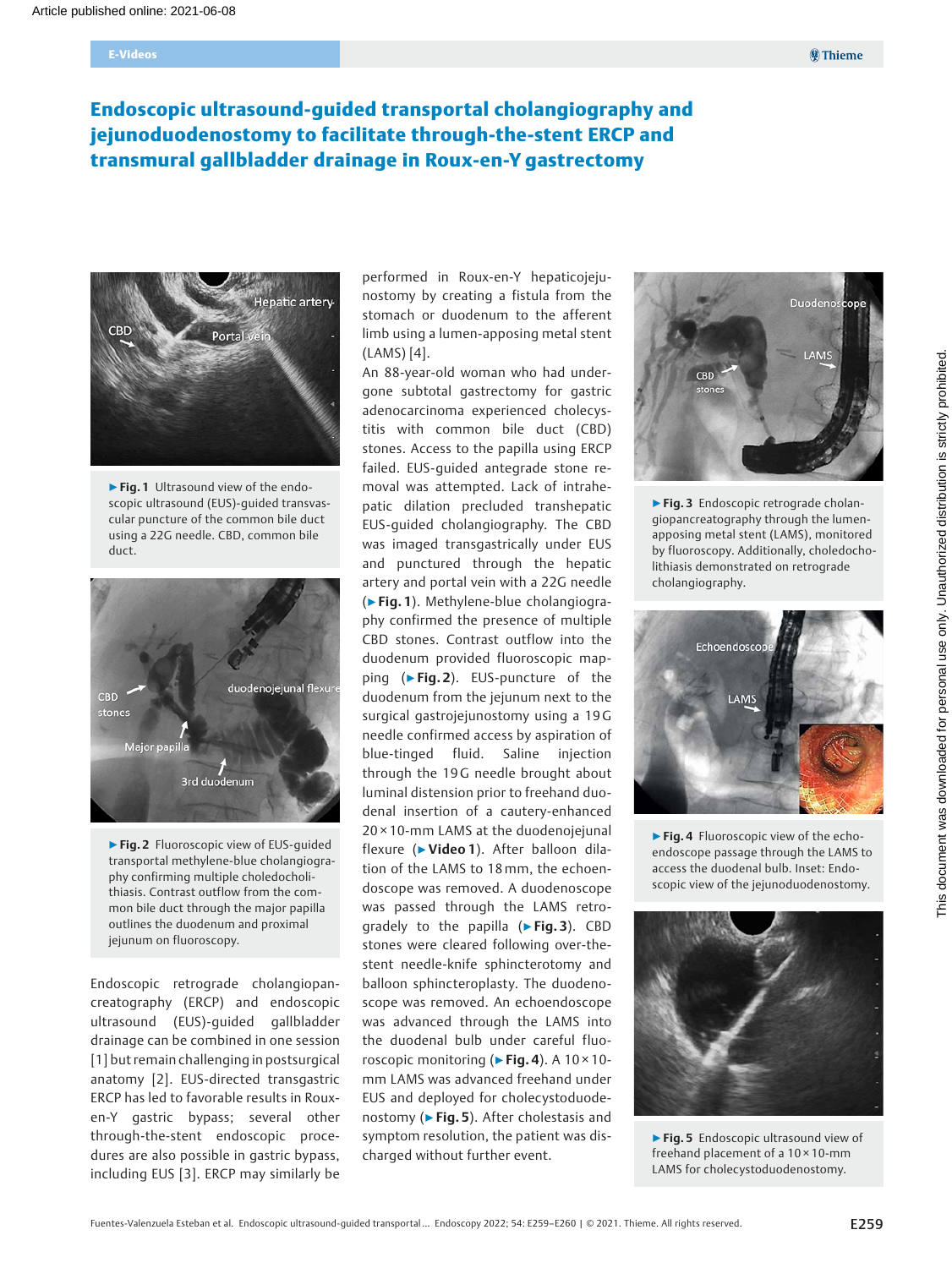# Endoscopic ultrasound-guided transportal cholangiography and jejunoduodenostomy to facilitate through-the-stent ERCP and transmural gallbladder drainage in Roux-en-Y gastrectomy



▶ Fig. 1 Ultrasound view of the endoscopic ultrasound (EUS)-guided transvascular puncture of the common bile duct using a 22G needle. CBD, common bile duct.



▶Fig. 2 Fluoroscopic view of EUS-guided transportal methylene-blue cholangiography confirming multiple choledocholithiasis. Contrast outflow from the common bile duct through the major papilla outlines the duodenum and proximal jejunum on fluoroscopy.

Endoscopic retrograde cholangiopancreatography (ERCP) and endoscopic ultrasound (EUS)-guided gallbladder drainage can be combined in one session [1] but remain challenging in postsurgical anatomy [2]. EUS-directed transgastric ERCP has led to favorable results in Rouxen-Y gastric bypass; several other through-the-stent endoscopic procedures are also possible in gastric bypass, including EUS [3]. ERCP may similarly be

performed in Roux-en-Y hepaticojejunostomy by creating a fistula from the stomach or duodenum to the afferent limb using a lumen-apposing metal stent (LAMS) [4].

An 88-year-old woman who had undergone subtotal gastrectomy for gastric adenocarcinoma experienced cholecystitis with common bile duct (CBD) stones. Access to the papilla using ERCP failed. EUS-guided antegrade stone removal was attempted. Lack of intrahepatic dilation precluded transhepatic EUS-guided cholangiography. The CBD was imaged transgastrically under EUS and punctured through the hepatic artery and portal vein with a 22G needle (▶Fig. 1). Methylene-blue cholangiography confirmed the presence of multiple CBD stones. Contrast outflow into the duodenum provided fluoroscopic mapping (▶Fig. 2). EUS-puncture of the duodenum from the jejunum next to the surgical gastrojejunostomy using a 19 G needle confirmed access by aspiration of blue-tinged fluid. Saline injection through the 19G needle brought about luminal distension prior to freehand duodenal insertion of a cautery-enhanced 20 × 10-mm LAMS at the duodenojejunal flexure (▶Video 1). After balloon dilation of the LAMS to 18mm, the echoendoscope was removed. A duodenoscope was passed through the LAMS retrogradely to the papilla (▶Fig. 3). CBD stones were cleared following over-thestent needle-knife sphincterotomy and balloon sphincteroplasty. The duodenoscope was removed. An echoendoscope was advanced through the LAMS into the duodenal bulb under careful fluoroscopic monitoring ( $\triangleright$  Fig. 4). A 10 × 10mm LAMS was advanced freehand under EUS and deployed for cholecystoduodenostomy ( $\triangleright$  Fig. 5). After cholestasis and symptom resolution, the patient was discharged without further event.



▶ Fig. 3 Endoscopic retrograde cholangiopancreatography through the lumenapposing metal stent (LAMS), monitored by fluoroscopy. Additionally, choledocholithiasis demonstrated on retrograde cholangiography.



▶ Fig. 4 Fluoroscopic view of the echoendoscope passage through the LAMS to access the duodenal bulb. Inset: Endoscopic view of the jejunoduodenostomy.



▶ Fig. 5 Endoscopic ultrasound view of freehand placement of a 10 × 10-mm LAMS for cholecystoduodenostomy.